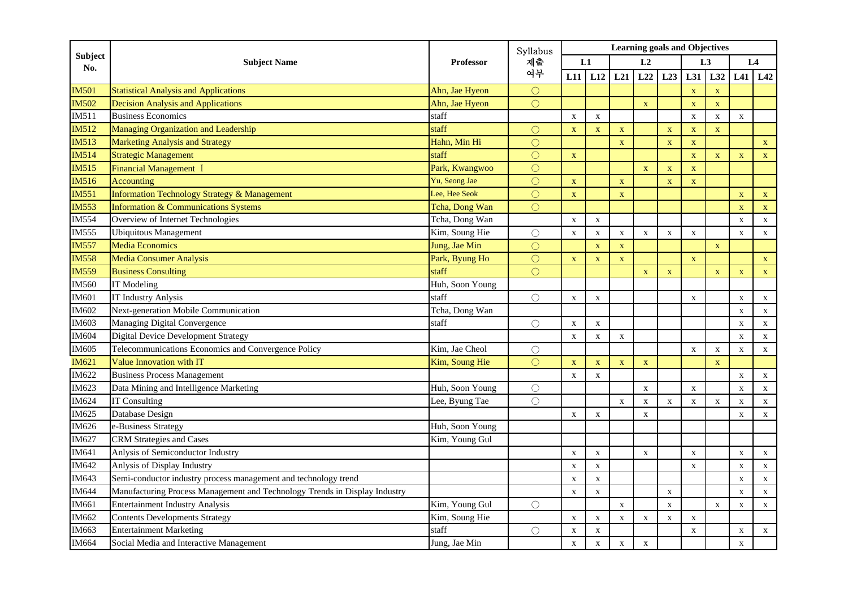| <b>Subject</b><br>No. | <b>Subject Name</b>                                                        | <b>Professor</b> | Syllabus<br>제출<br>여부 | <b>Learning goals and Objectives</b> |             |                           |              |                           |                         |              |                         |              |  |
|-----------------------|----------------------------------------------------------------------------|------------------|----------------------|--------------------------------------|-------------|---------------------------|--------------|---------------------------|-------------------------|--------------|-------------------------|--------------|--|
|                       |                                                                            |                  |                      | L1                                   |             | L2                        |              | L3                        |                         |              | L4                      |              |  |
|                       |                                                                            |                  |                      | L11                                  | L12         | L21                       | L22          | L23                       | L31                     | L32          |                         | $L41$ $L42$  |  |
| <b>IM501</b>          | <b>Statistical Analysis and Applications</b>                               | Ahn, Jae Hyeon   | $\bigcirc$           |                                      |             |                           |              |                           | $\overline{\mathbf{X}}$ | $\mathbf{X}$ |                         |              |  |
| <b>IM502</b>          | <b>Decision Analysis and Applications</b>                                  | Ahn, Jae Hyeon   | $\bigcirc$           |                                      |             |                           | $\mathbf X$  |                           | $\mathbf X$             | $\mathbf X$  |                         |              |  |
| IM511                 | <b>Business Economics</b>                                                  | staff            |                      | $\mathbf X$                          | $\mathbf X$ |                           |              |                           | $\mathbf X$             | $\mathbf X$  | $\mathbf X$             |              |  |
| <b>IM512</b>          | Managing Organization and Leadership                                       | staff            | $\bigcirc$           | $\mathbf X$                          | $\mathbf X$ | $\mathbf X$               |              | $\mathbf X$               | $\mathbf X$             | $\mathbf X$  |                         |              |  |
| <b>IM513</b>          | Marketing Analysis and Strategy                                            | Hahn, Min Hi     | $\bigcirc$           |                                      |             | $\mathbf X$               |              | $\mathbf X$               | $\mathbf X$             |              |                         | $\mathbf{X}$ |  |
| <b>IM514</b>          | <b>Strategic Management</b>                                                | staff            | $\bigcirc$           | X                                    |             |                           |              |                           | $\mathbf X$             | X            | X                       | $\mathbf X$  |  |
| <b>IM515</b>          | <b>Financial Management I</b>                                              | Park, Kwangwoo   | $\bigcirc$           |                                      |             |                           | $\mathbf X$  | $\mathbf X$               | $\mathbf X$             |              |                         |              |  |
| <b>IM516</b>          | <b>Accounting</b>                                                          | Yu, Seong Jae    | $\circ$              | $\mathbf X$                          |             | $\mathbf X$               |              | $\mathbf{X}$              | $\bar{\mathbf{X}}$      |              |                         |              |  |
| <b>IM551</b>          | <b>Information Technology Strategy &amp; Management</b>                    | Lee. Hee Seok    | $\bigcirc$           | $\mathbf X$                          |             | $\mathbf{X}$              |              |                           |                         |              | $\mathbf X$             | $\mathbf{X}$ |  |
| <b>IM553</b>          | <b>Information &amp; Communications Systems</b>                            | Tcha, Dong Wan   | $\bigcap$            |                                      |             |                           |              |                           |                         |              | $\overline{\mathbf{X}}$ | $\mathbf{X}$ |  |
| <b>IM554</b>          | Overview of Internet Technologies                                          | Tcha, Dong Wan   |                      | $\mathbf X$                          | $\mathbf X$ |                           |              |                           |                         |              | $\mathbf X$             | $\mathbf X$  |  |
| <b>IM555</b>          | <b>Ubiquitous Management</b>                                               | Kim, Soung Hie   | $\bigcirc$           | $\mathbf X$                          | $\mathbf X$ | $\mathbf X$               | $\mathbf x$  | $\mathbf X$               | $\mathbf X$             |              | $\mathbf{X}$            | $\mathbf X$  |  |
| <b>IM557</b>          | <b>Media Economics</b>                                                     | Jung, Jae Min    | $\bigcirc$           |                                      | $\mathbf X$ | $\mathbf X$               |              |                           |                         | $\mathbf X$  |                         |              |  |
| <b>IM558</b>          | Media Consumer Analysis                                                    | Park, Byung Ho   | $\bigcirc$           | $\mathbf X$                          | $\mathbf X$ | $\mathbf X$               |              |                           | $\mathbf X$             |              |                         | $\mathbf{X}$ |  |
| <b>IM559</b>          | <b>Business Consulting</b>                                                 | staff            | $\bigcap$            |                                      |             |                           | $\mathbf X$  | X                         |                         | X            | $\mathbf X$             | $\mathbf{X}$ |  |
| <b>IM560</b>          | IT Modeling                                                                | Huh, Soon Young  |                      |                                      |             |                           |              |                           |                         |              |                         |              |  |
| <b>IM601</b>          | <b>IT Industry Anlysis</b>                                                 | staff            | $\bigcirc$           | $\mathbf X$                          | $\mathbf X$ |                           |              |                           | $\mathbf X$             |              | $\mathbf X$             | $\mathbf X$  |  |
| <b>IM602</b>          | Next-generation Mobile Communication                                       | Tcha, Dong Wan   |                      |                                      |             |                           |              |                           |                         |              | $\mathbf X$             | $\mathbf X$  |  |
| <b>IM603</b>          | Managing Digital Convergence                                               | staff            | $\bigcirc$           | $\mathbf{X}$                         | X           |                           |              |                           |                         |              | $\mathbf x$             | $\mathbf X$  |  |
| <b>IM604</b>          | <b>Digital Device Development Strategy</b>                                 |                  |                      | $\mathbf X$                          | $\mathbf X$ | $\mathbf X$               |              |                           |                         |              | $\mathbf X$             | $\mathbf X$  |  |
| IM605                 | Telecommunications Economics and Convergence Policy                        | Kim. Jae Cheol   | $\bigcirc$           |                                      |             |                           |              |                           | $\mathbf X$             | $\mathbf X$  | $\mathbf X$             | $\mathbf X$  |  |
| <b>IM621</b>          | Value Innovation with IT                                                   | Kim, Soung Hie   | $\bigcap$            | $\mathbf X$                          | $\mathbf X$ | $\mathbf X$               | $\mathbf X$  |                           |                         | $\mathbf x$  |                         |              |  |
| IM622                 | <b>Business Process Management</b>                                         |                  |                      | $\mathbf X$                          | $\mathbf X$ |                           |              |                           |                         |              | $\mathbf X$             | $\mathbf X$  |  |
| IM623                 | Data Mining and Intelligence Marketing                                     | Huh, Soon Young  | $\bigcirc$           |                                      |             |                           | $\mathbf X$  |                           | $\mathbf X$             |              | $\mathbf X$             | $\mathbf X$  |  |
| IM624                 | <b>IT Consulting</b>                                                       | Lee, Byung Tae   | $\bigcap$            |                                      |             | $\mathbf X$               | $\mathbf X$  | $\mathbf X$               | $\mathbf X$             | $\mathbf X$  | $\mathbf X$             | $\mathbf X$  |  |
| IM625                 | Database Design                                                            |                  |                      | $\mathbf X$                          | $\mathbf X$ |                           | $\mathbf{x}$ |                           |                         |              | $\mathbf x$             | $\mathbf X$  |  |
| <b>IM626</b>          | e-Business Strategy                                                        | Huh, Soon Young  |                      |                                      |             |                           |              |                           |                         |              |                         |              |  |
| IM627                 | <b>CRM</b> Strategies and Cases                                            | Kim, Young Gul   |                      |                                      |             |                           |              |                           |                         |              |                         |              |  |
| IM641                 | Anlysis of Semiconductor Industry                                          |                  |                      | $\mathbf X$                          | $\mathbf X$ |                           | $\mathbf X$  |                           | $\mathbf X$             |              | $\mathbf X$             | $\mathbf X$  |  |
| IM642                 | Anlysis of Display Industry                                                |                  |                      | $\mathbf X$                          | $\mathbf X$ |                           |              |                           | $\mathbf X$             |              | $\mathbf X$             | $\mathbf X$  |  |
| IM643                 | Semi-conductor industry process management and technology trend            |                  |                      | $\mathbf X$                          | $\mathbf X$ |                           |              |                           |                         |              | $\mathbf X$             | $\mathbf X$  |  |
| <b>IM644</b>          | Manufacturing Process Management and Technology Trends in Display Industry |                  |                      | $\mathbf X$                          | $\mathbf X$ |                           |              | $\boldsymbol{\mathrm{X}}$ |                         |              | $\mathbf X$             | $\mathbf X$  |  |
| IM661                 | <b>Entertainment Industry Analysis</b>                                     | Kim, Young Gul   | $\bigcirc$           |                                      |             | $\mathbf{x}$              |              | $\mathbf{x}$              |                         | $\mathbf x$  | $\mathbf x$             | $\mathbf X$  |  |
| IM662                 | <b>Contents Developments Strategy</b>                                      | Kim, Soung Hie   |                      | $\mathbf x$                          | $\mathbf X$ | $\boldsymbol{\mathrm{X}}$ | $\mathbf X$  | $\mathbf X$               | $\mathbf X$             |              |                         |              |  |
| IM663                 | <b>Entertainment Marketing</b>                                             | staff            | $\bigcirc$           | $\mathbf X$                          | $\mathbf X$ |                           |              |                           | $\mathbf X$             |              | $\mathbf X$             | $\mathbf X$  |  |
| <b>IM664</b>          | Social Media and Interactive Management                                    | Jung, Jae Min    |                      | $\mathbf X$                          | $\mathbf X$ | $\mathbf X$               | $\mathbf X$  |                           |                         |              | $\mathbf X$             |              |  |